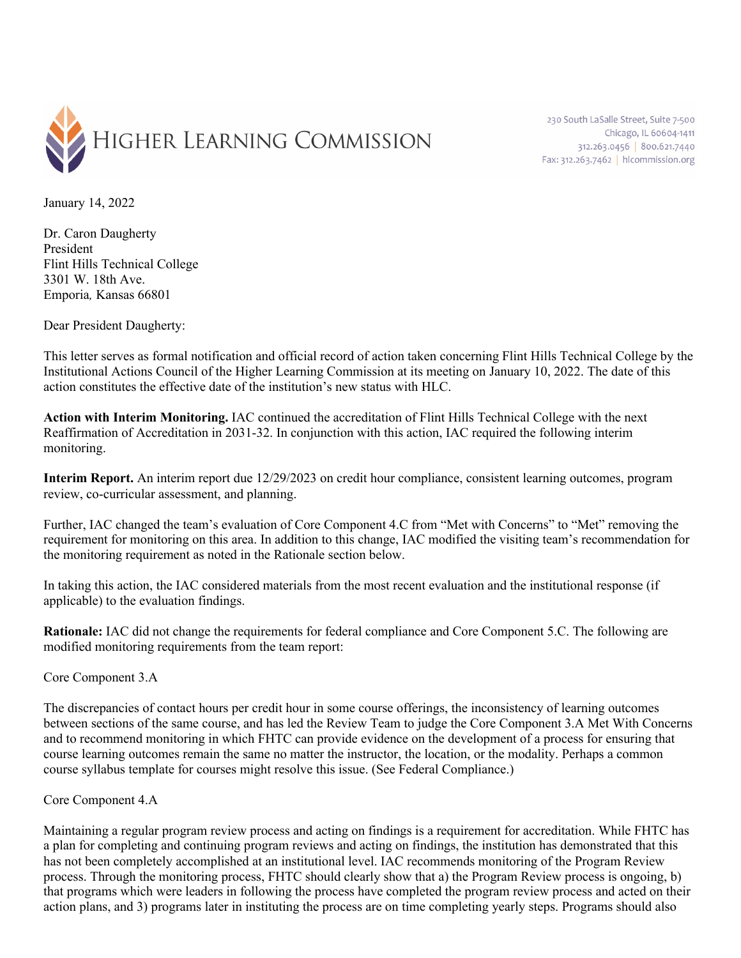

230 South LaSalle Street, Suite 7-500 Chicago, IL 60604-1411 312.263.0456 800.621.7440 Fax: 312.263.7462 | hlcommission.org

January 14, 2022

Dr. Caron Daugherty President Flint Hills Technical College 3301 W. 18th Ave. Emporia*,* Kansas 66801

Dear President Daugherty:

This letter serves as formal notification and official record of action taken concerning Flint Hills Technical College by the Institutional Actions Council of the Higher Learning Commission at its meeting on January 10, 2022. The date of this action constitutes the effective date of the institution's new status with HLC.

**Action with Interim Monitoring.** IAC continued the accreditation of Flint Hills Technical College with the next Reaffirmation of Accreditation in 2031-32. In conjunction with this action, IAC required the following interim monitoring.

**Interim Report.** An interim report due 12/29/2023 on credit hour compliance, consistent learning outcomes, program review, co-curricular assessment, and planning.

Further, IAC changed the team's evaluation of Core Component 4.C from "Met with Concerns" to "Met" removing the requirement for monitoring on this area. In addition to this change, IAC modified the visiting team's recommendation for the monitoring requirement as noted in the Rationale section below.

In taking this action, the IAC considered materials from the most recent evaluation and the institutional response (if applicable) to the evaluation findings.

**Rationale:** IAC did not change the requirements for federal compliance and Core Component 5.C. The following are modified monitoring requirements from the team report:

Core Component 3.A

The discrepancies of contact hours per credit hour in some course offerings, the inconsistency of learning outcomes between sections of the same course, and has led the Review Team to judge the Core Component 3.A Met With Concerns and to recommend monitoring in which FHTC can provide evidence on the development of a process for ensuring that course learning outcomes remain the same no matter the instructor, the location, or the modality. Perhaps a common course syllabus template for courses might resolve this issue. (See Federal Compliance.)

## Core Component 4.A

Maintaining a regular program review process and acting on findings is a requirement for accreditation. While FHTC has a plan for completing and continuing program reviews and acting on findings, the institution has demonstrated that this has not been completely accomplished at an institutional level. IAC recommends monitoring of the Program Review process. Through the monitoring process, FHTC should clearly show that a) the Program Review process is ongoing, b) that programs which were leaders in following the process have completed the program review process and acted on their action plans, and 3) programs later in instituting the process are on time completing yearly steps. Programs should also